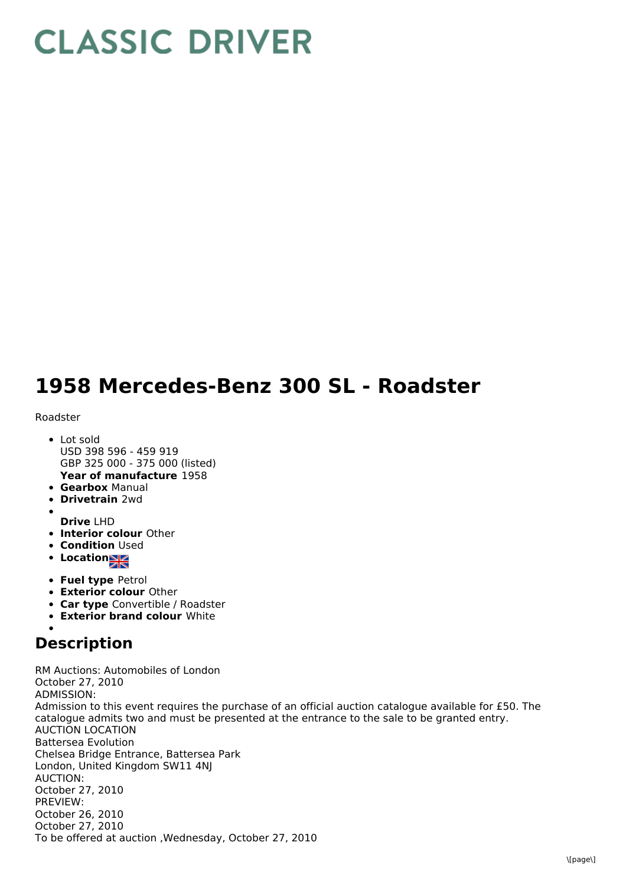## **CLASSIC DRIVER**

## **1958 Mercedes-Benz 300 SL - Roadster**

## Roadster

- **Year of manufacture** 1958 • Lot sold USD 398 596 - 459 919 GBP 325 000 - 375 000 (listed)
- **Gearbox** Manual
- **Drivetrain** 2wd
- 
- **Drive** LHD
- **Interior colour** Other
- **Condition Used**
- **Location**
- **Fuel type** Petrol
- **Exterior colour** Other
- **Car type** Convertible / Roadster
- **Exterior brand colour** White

## **Description**

RM Auctions: Automobiles of London October 27, 2010 ADMISSION: Admission to this event requires the purchase of an official auction catalogue available for £50. The catalogue admits two and must be presented at the entrance to the sale to be granted entry. AUCTION LOCATION Battersea Evolution Chelsea Bridge Entrance, Battersea Park London, United Kingdom SW11 4NJ AUCTION: October 27, 2010 PREVIEW: October 26, 2010 October 27, 2010 To be offered at auction ,Wednesday, October 27, 2010